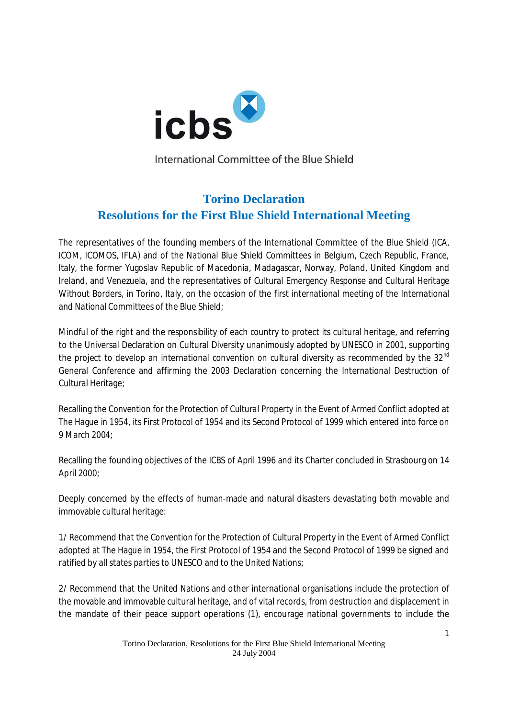

International Committee of the Blue Shield

## **Torino Declaration Resolutions for the First Blue Shield International Meeting**

The representatives of the founding members of the International Committee of the Blue Shield (ICA, ICOM, ICOMOS, IFLA) and of the National Blue Shield Committees in Belgium, Czech Republic, France, Italy, the former Yugoslav Republic of Macedonia, Madagascar, Norway, Poland, United Kingdom and Ireland, and Venezuela, and the representatives of Cultural Emergency Response and Cultural Heritage Without Borders, in Torino, Italy, on the occasion of the first international meeting of the International and National Committees of the Blue Shield;

Mindful of the right and the responsibility of each country to protect its cultural heritage, and referring to the Universal Declaration on Cultural Diversity unanimously adopted by UNESCO in 2001, supporting the project to develop an international convention on cultural diversity as recommended by the  $32^{\text{nd}}$ General Conference and affirming the 2003 Declaration concerning the International Destruction of Cultural Heritage;

Recalling the *Convention for the Protection of Cultural Property in the Event of Armed Conflict* adopted at The Hague in 1954, its First Protocol of 1954 and its Second Protocol of 1999 which entered into force on 9 March 2004;

Recalling the founding objectives of the ICBS of April 1996 and its Charter concluded in Strasbourg on 14 April 2000;

Deeply concerned by the effects of human-made and natural disasters devastating both movable and immovable cultural heritage:

1/ Recommend that the *Convention for the Protection of Cultural Property in the Event of Armed Conflict* adopted at The Hague in 1954, the First Protocol of 1954 and the Second Protocol of 1999 be signed and ratified by all states parties to UNESCO and to the United Nations;

2/ Recommend that the United Nations and other international organisations include the protection of the movable and immovable cultural heritage, and of vital records, from destruction and displacement in the mandate of their peace support operations (1), encourage national governments to include the